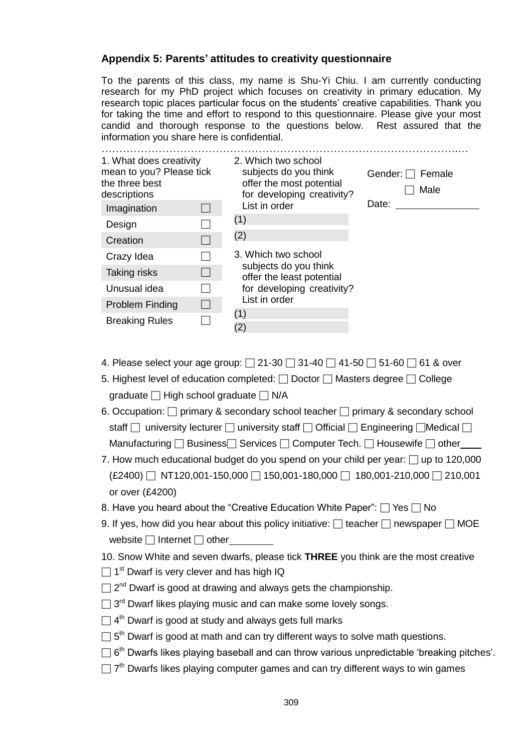#### **Appendix 5: Parents' attitudes to creativity questionnaire**

To the parents of this class, my name is Shu-Yi Chiu. I am currently conducting research for my PhD project which focuses on creativity in primary education. My research topic places particular focus on the students' creative capabilities. Thank you for taking the time and effort to respond to this questionnaire. Please give your most candid and thorough response to the questions below. Rest assured that the information you share here is confidential.

| 1. What does creativity<br>mean to you? Please tick<br>the three best<br>descriptions<br>Imagination | 2. Which two school<br>subjects do you think<br>offer the most potential<br>for developing creativity?<br>List in order | Gender: $\Box$ Female<br>Male<br>Date: |
|------------------------------------------------------------------------------------------------------|-------------------------------------------------------------------------------------------------------------------------|----------------------------------------|
| Design                                                                                               | (1)                                                                                                                     |                                        |
| Creation                                                                                             | (2)                                                                                                                     |                                        |
| Crazy Idea                                                                                           | 3. Which two school                                                                                                     |                                        |
| Taking risks                                                                                         | subjects do you think<br>offer the least potential                                                                      |                                        |
| Unusual idea                                                                                         | for developing creativity?                                                                                              |                                        |
| Problem Finding                                                                                      | List in order                                                                                                           |                                        |
| <b>Breaking Rules</b>                                                                                | (1)<br>(2)                                                                                                              |                                        |

- 4. Please select your age group:  $\Box$  21-30  $\Box$  31-40  $\Box$  41-50  $\Box$  51-60  $\Box$  61 & over
- 5. Highest level of education completed: □ Doctor □ Masters degree □ College graduate □ High school graduate □ N/A
- 6. Occupation: □ primary & secondary school teacher □ primary & secondary school staff  $\Box$  university lecturer  $\Box$  university staff  $\Box$  Official  $\Box$  Engineering  $\Box$ Medical  $\Box$ Manufacturing □ Business Services □ Computer Tech. □ Housewife □ other
- 7. How much educational budget do you spend on your child per year:  $\Box$  up to 120,000  $(E2400)$   $\Box$  NT120,001-150,000  $\Box$  150,001-180,000  $\Box$  180,001-210,000  $\Box$  210,001 or over (£4200)
- 8. Have you heard about the "Creative Education White Paper":  $\Box$  Yes  $\Box$  No
- 9. If yes, how did you hear about this policy initiative:  $\Box$  teacher  $\Box$  newspaper  $\Box$  MOE website □ Internet □ other
- 10. Snow White and seven dwarfs, please tick **THREE** you think are the most creative
- $\square$  1<sup>st</sup> Dwarf is very clever and has high IQ
- $\Box$  2<sup>nd</sup> Dwarf is good at drawing and always gets the championship.
- $\Box$  3<sup>rd</sup> Dwarf likes playing music and can make some lovely songs.
- $\Box$  4<sup>th</sup> Dwarf is good at study and always gets full marks
- $\Box$  5<sup>th</sup> Dwarf is good at math and can try different ways to solve math questions.
- $\Box$  6<sup>th</sup> Dwarfs likes playing baseball and can throw various unpredictable 'breaking pitches'.
- $\Box$  7<sup>th</sup> Dwarfs likes playing computer games and can try different ways to win games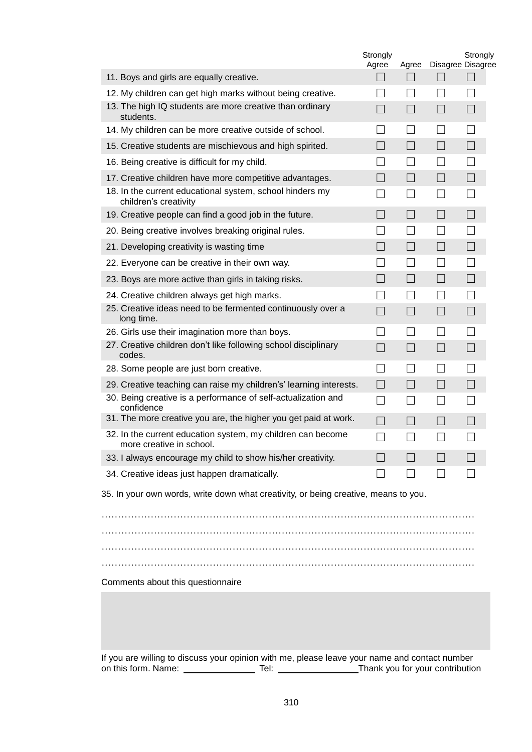|                                                                                         | Strongly<br>Agree        | Agree                    |                   | Strongly<br>Disagree Disagree |  |  |
|-----------------------------------------------------------------------------------------|--------------------------|--------------------------|-------------------|-------------------------------|--|--|
| 11. Boys and girls are equally creative.                                                | $\mathbb{R}$             | $\mathcal{L}$            | $\Box$            | $\Box$                        |  |  |
| 12. My children can get high marks without being creative.                              |                          | $\blacksquare$           |                   |                               |  |  |
| 13. The high IQ students are more creative than ordinary<br>students.                   | $\blacksquare$           | $\sim$                   | a.                | ш.                            |  |  |
| 14. My children can be more creative outside of school.                                 |                          | $\overline{\phantom{a}}$ | $\mathcal{A}$     | $\sim$                        |  |  |
| 15. Creative students are mischievous and high spirited.                                | n.                       | n.                       | n.                |                               |  |  |
| 16. Being creative is difficult for my child.                                           |                          |                          |                   |                               |  |  |
| 17. Creative children have more competitive advantages.                                 | $\overline{\phantom{a}}$ | $\vert \ \ \vert$        | $\Box$            |                               |  |  |
| 18. In the current educational system, school hinders my<br>children's creativity       |                          |                          |                   |                               |  |  |
| 19. Creative people can find a good job in the future.                                  |                          | $\mathbb{R}^n$           | $\vert \ \ \vert$ |                               |  |  |
| 20. Being creative involves breaking original rules.                                    |                          |                          |                   |                               |  |  |
| 21. Developing creativity is wasting time                                               | $\blacksquare$           | $\mathcal{L}$            | $\Box$            | H                             |  |  |
| 22. Everyone can be creative in their own way.                                          |                          |                          |                   |                               |  |  |
| 23. Boys are more active than girls in taking risks.                                    | $\blacksquare$           | $\vert$ $\vert$          | $\Box$            |                               |  |  |
| 24. Creative children always get high marks.                                            |                          | $\blacksquare$           |                   |                               |  |  |
| 25. Creative ideas need to be fermented continuously over a<br>long time.               | $\sim$                   | $\vert \ \ \vert$        | $\Box$            | H                             |  |  |
| 26. Girls use their imagination more than boys.                                         |                          | $\blacksquare$           | $\mathcal{A}$     |                               |  |  |
| 27. Creative children don't like following school disciplinary<br>codes.                | $\mathcal{L}$            | $\vert \ \ \vert$        | $\Box$            | ш.                            |  |  |
| 28. Some people are just born creative.                                                 | $\blacksquare$           | $\mathcal{L}$            | $\blacksquare$    |                               |  |  |
| 29. Creative teaching can raise my children's' learning interests.                      | $\blacksquare$           |                          | $\blacksquare$    | H                             |  |  |
| 30. Being creative is a performance of self-actualization and<br>confidence             |                          |                          |                   |                               |  |  |
| 31. The more creative you are, the higher you get paid at work.                         | ┓                        | $\overline{\phantom{a}}$ | $\blacksquare$    |                               |  |  |
| 32. In the current education system, my children can become<br>more creative in school. |                          |                          |                   |                               |  |  |
| 33. I always encourage my child to show his/her creativity.                             | $\blacksquare$           | $\mathcal{L}$            | $\blacksquare$    |                               |  |  |
| 34. Creative ideas just happen dramatically.                                            |                          |                          |                   |                               |  |  |
| 35. In your own words, write down what creativity, or being creative, means to you.     |                          |                          |                   |                               |  |  |

…………………………………………………………………………………………………… …………………………………………………………………………………………………… ……………………………………………………………………………………………………

Comments about this questionnaire

If you are willing to discuss your opinion with me, please leave your name and contact number on this form. Name: Thank you for your contribution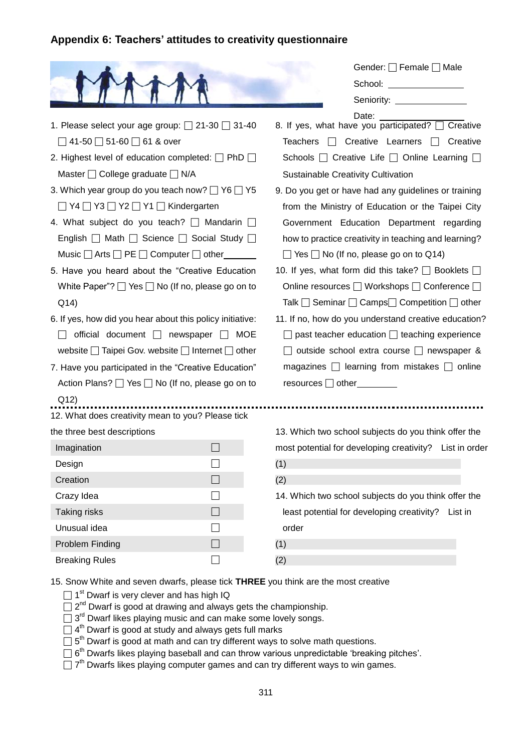### **Appendix 6: Teachers' attitudes to creativity questionnaire**

|                                                                                                                                                                                                       | Gender: Female <sub>D</sub> Male<br>Seniority: <u>_______________</u>                                                                                                                                                                     |
|-------------------------------------------------------------------------------------------------------------------------------------------------------------------------------------------------------|-------------------------------------------------------------------------------------------------------------------------------------------------------------------------------------------------------------------------------------------|
| 1. Please select your age group: $\Box$ 21-30 $\Box$ 31-40<br>$\Box$ 41-50 $\Box$ 51-60 $\Box$ 61 & over<br>2. Highest level of education completed: $\Box$ PhD $\Box$                                | Date: $\frac{1}{\sqrt{1-\frac{1}{2}}\cdot\frac{1}{2}}$<br>8. If yes, what have you participated? [ Creative<br>Teachers   Creative Learners   Creative<br>Schools □ Creative Life □ Online Learning [                                     |
| Master □ College graduate □ N/A                                                                                                                                                                       | Sustainable Creativity Cultivation                                                                                                                                                                                                        |
| 3. Which year group do you teach now? □ Y6 □ Y5<br>$\Box$ Y4 $\Box$ Y3 $\Box$ Y2 $\Box$ Y1 $\Box$ Kindergarten<br>4. What subject do you teach? Mandarin a<br>English   Math   Science   Social Study | 9. Do you get or have had any guidelines or training<br>from the Ministry of Education or the Taipei City<br>Government Education Department regarding<br>how to practice creativity in teaching and learning?                            |
| Music $\Box$ Arts $\Box$ PE $\Box$ Computer $\Box$ other ________<br>5. Have you heard about the "Creative Education<br>White Paper"? $\Box$ Yes $\Box$ No (If no, please go on to<br>Q(14)           | $\Box$ Yes $\Box$ No (If no, please go on to Q14)<br>10. If yes, what form did this take? <b>Deparately</b> Dooklets D<br>Online resources □ Workshops □ Conference □<br>Talk $\Box$ Seminar $\Box$ Camps $\Box$ Competition $\Box$ other |
| 6. If yes, how did you hear about this policy initiative:<br>official document $\Box$ newspaper $\Box$ MOE<br>website $\Box$ Taipei Gov. website $\Box$ Internet $\Box$ other                         | 11. If no, how do you understand creative education?<br>$\Box$ past teacher education $\Box$ teaching experience<br>□ outside school extra course □ newspaper &                                                                           |
| 7. Have you participated in the "Creative Education"<br>Action Plans? □ Yes □ No (If no, please go on to<br>Q12)                                                                                      | magazines $\Box$ learning from mistakes $\Box$ online<br>$resources$ other                                                                                                                                                                |
| 12. What does creativity mean to you? Please tick                                                                                                                                                     |                                                                                                                                                                                                                                           |
| the three best descriptions                                                                                                                                                                           | 13. Which two school subjects do you think offer the                                                                                                                                                                                      |
| Imagination                                                                                                                                                                                           | most potential for developing creativity? List in order                                                                                                                                                                                   |
| Design<br>Creation                                                                                                                                                                                    | (1)<br>(2)                                                                                                                                                                                                                                |
| Crazy Idea                                                                                                                                                                                            | 14. Which two school subjects do you think offer the                                                                                                                                                                                      |
| Taking risks                                                                                                                                                                                          | least potential for developing creativity?<br>List in                                                                                                                                                                                     |
| Unusual idea                                                                                                                                                                                          | order                                                                                                                                                                                                                                     |
| Problem Finding                                                                                                                                                                                       | (1)                                                                                                                                                                                                                                       |
| <b>Breaking Rules</b>                                                                                                                                                                                 | (2)                                                                                                                                                                                                                                       |

15. Snow White and seven dwarfs, please tick **THREE** you think are the most creative

- $\Box$  1<sup>st</sup> Dwarf is very clever and has high IQ
- $\Box$  2<sup>nd</sup> Dwarf is good at drawing and always gets the championship.
- $\Box$  3<sup>rd</sup> Dwarf likes playing music and can make some lovely songs.
- $\Box$  4<sup>th</sup> Dwarf is good at study and always gets full marks
- $\Box$  5<sup>th</sup> Dwarf is good at math and can try different ways to solve math questions.
- $\square$  6<sup>th</sup> Dwarfs likes playing baseball and can throw various unpredictable 'breaking pitches'.
- $\Box$  7<sup>th</sup> Dwarfs likes playing computer games and can try different ways to win games.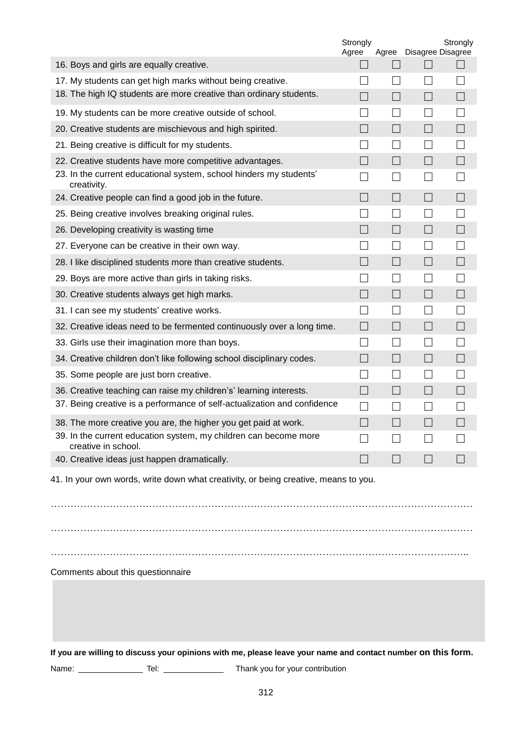|                                                                                                              | Strongly<br>Agree |                          | Agree Disagree Disagree | Strongly |
|--------------------------------------------------------------------------------------------------------------|-------------------|--------------------------|-------------------------|----------|
| 16. Boys and girls are equally creative.                                                                     | $\Box$            | $\blacksquare$           | $\Box$                  | $\Box$   |
| 17. My students can get high marks without being creative.                                                   |                   |                          |                         |          |
| 18. The high IQ students are more creative than ordinary students.                                           | $\Box$            | $\Box$                   | $\Box$                  | H        |
| 19. My students can be more creative outside of school.                                                      | $\mathcal{L}$     |                          |                         |          |
| 20. Creative students are mischievous and high spirited.                                                     | $\Box$            | $\Box$                   | $\Box$                  |          |
| 21. Being creative is difficult for my students.                                                             | $\mathcal{L}$     | $\mathbf{I}$             |                         |          |
| 22. Creative students have more competitive advantages.                                                      | $\Box$            | $\Box$                   | $\Box$                  | $\Box$   |
| 23. In the current educational system, school hinders my students'<br>creativity.                            | $\mathcal{L}$     | $\overline{\phantom{a}}$ |                         |          |
| 24. Creative people can find a good job in the future.                                                       | ×.                | $\blacksquare$           | $\Box$                  |          |
| 25. Being creative involves breaking original rules.                                                         |                   |                          |                         |          |
| 26. Developing creativity is wasting time                                                                    |                   | $\blacksquare$           |                         |          |
| 27. Everyone can be creative in their own way.                                                               |                   |                          |                         |          |
| 28. I like disciplined students more than creative students.                                                 | ×.                | $\blacksquare$           |                         |          |
| 29. Boys are more active than girls in taking risks.                                                         |                   |                          |                         |          |
| 30. Creative students always get high marks.                                                                 | ×.                | - 1                      |                         |          |
| 31. I can see my students' creative works.                                                                   |                   |                          |                         |          |
| 32. Creative ideas need to be fermented continuously over a long time.                                       | H.                |                          |                         |          |
| 33. Girls use their imagination more than boys.                                                              | $\mathcal{L}$     |                          |                         |          |
| 34. Creative children don't like following school disciplinary codes.                                        | - 1               |                          |                         |          |
| 35. Some people are just born creative.                                                                      |                   |                          |                         |          |
| 36. Creative teaching can raise my children's' learning interests.                                           | ×.                |                          |                         |          |
| 37. Being creative is a performance of self-actualization and confidence                                     | $\mathcal{L}$     |                          |                         |          |
| 38. The more creative you are, the higher you get paid at work.                                              |                   |                          |                         |          |
| 39. In the current education system, my children can become more<br>creative in school.                      |                   |                          |                         |          |
| 40. Creative ideas just happen dramatically.                                                                 |                   |                          |                         |          |
| 41. In your own words, write down what creativity, or being creative, means to you.                          |                   |                          |                         |          |
| Comments about this questionnaire                                                                            |                   |                          |                         |          |
| If you are willing to discuss your opinions with me, please leave your name and contact number on this form. |                   |                          |                         |          |
| Thank you for your contribution<br>Name: ______________<br>Tel: _______________                              |                   |                          |                         |          |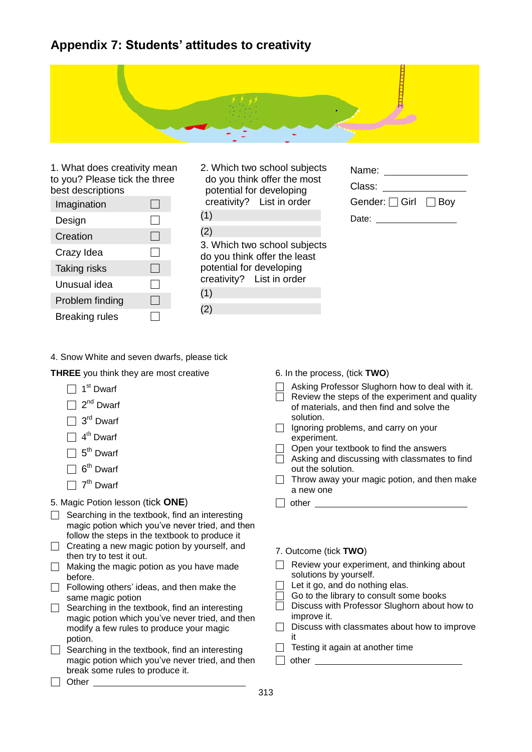## **Appendix 7: Students' attitudes to creativity**



1. What does creativity mean to you? Please tick the three best descriptions

| Imagination           |  |
|-----------------------|--|
| Design                |  |
| Creation              |  |
| Crazy Idea            |  |
| <b>Taking risks</b>   |  |
| Unusual idea          |  |
| Problem finding       |  |
| <b>Breaking rules</b> |  |

| 2. Which two school subjects |
|------------------------------|
| do you think offer the most  |
| potential for developing     |
| creativity? List in order    |
|                              |

3. Which two school subjects do you think offer the least potential for developing creativity? List in order (1) (2)

| Name:                          |  |
|--------------------------------|--|
| Class:                         |  |
| Gender: $\Box$ Girl $\Box$ Boy |  |
| Date:                          |  |

4. Snow White and seven dwarfs, please tick

**THREE** you think they are most creative

| Dwarf |
|-------|
|       |

- $\Box$  2<sup>nd</sup> Dwarf
- $\Box$  3<sup>rd</sup> Dwarf
- $\Box$  4<sup>th</sup> Dwarf
- $\Box$  5<sup>th</sup> Dwarf
- $\Box$  6<sup>th</sup> Dwarf
- $\Box$  7<sup>th</sup> Dwarf

#### 5. Magic Potion lesson (tick **ONE**)

- $\Box$  Searching in the textbook, find an interesting magic potion which you"ve never tried, and then follow the steps in the textbook to produce it
- $\Box$  Creating a new magic potion by yourself, and then try to test it out.
- $\Box$  Making the magic potion as you have made before.
- □ Following others' ideas, and then make the same magic potion
- $\Box$  Searching in the textbook, find an interesting magic potion which you've never tried, and then modify a few rules to produce your magic potion.
- $\Box$  Searching in the textbook, find an interesting magic potion which you"ve never tried, and then break some rules to produce it. □ Other **Definition**
- 6. In the process, (tick **TWO**)
- □ Asking Professor Slughorn how to deal with it.
- $\overline{\Box}$  Review the steps of the experiment and quality of materials, and then find and solve the solution.
- $\Box$  Ignoring problems, and carry on your experiment.
- $\Box$  Open your textbook to find the answers
- $\Box$  Asking and discussing with classmates to find out the solution.
- $\Box$  Throw away your magic potion, and then make a new one
- □ other
- 7. Outcome (tick **TWO**)
- $\Box$  Review your experiment, and thinking about solutions by yourself.
- $\Box$  Let it go, and do nothing elas.
- □ Go to the library to consult some books
- $\overline{\Box}$  Discuss with Professor Slughorn about how to improve it.
- $\Box$  Discuss with classmates about how to improve it
- $\Box$  Testing it again at another time
- $\Box$  other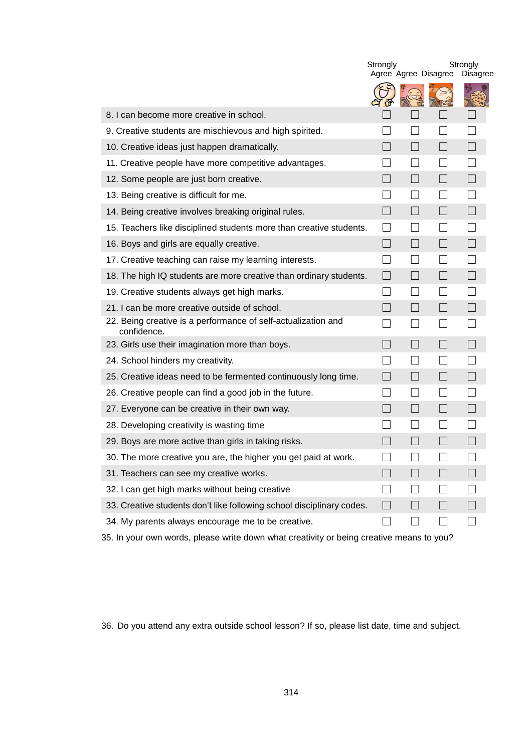|                                                                              | Strongly<br>Agree Agree Disagree |  |                          | Strongly<br><b>Disagree</b> |
|------------------------------------------------------------------------------|----------------------------------|--|--------------------------|-----------------------------|
|                                                                              |                                  |  |                          |                             |
| 8. I can become more creative in school.                                     |                                  |  |                          |                             |
| 9. Creative students are mischievous and high spirited.                      |                                  |  |                          |                             |
| 10. Creative ideas just happen dramatically.                                 |                                  |  |                          |                             |
| 11. Creative people have more competitive advantages.                        |                                  |  |                          |                             |
| 12. Some people are just born creative.                                      |                                  |  |                          |                             |
| 13. Being creative is difficult for me.                                      |                                  |  |                          |                             |
| 14. Being creative involves breaking original rules.                         | $\blacksquare$                   |  |                          |                             |
| 15. Teachers like disciplined students more than creative students.          |                                  |  |                          |                             |
| 16. Boys and girls are equally creative.                                     |                                  |  |                          |                             |
| 17. Creative teaching can raise my learning interests.                       |                                  |  |                          |                             |
| 18. The high IQ students are more creative than ordinary students.           | <b>Talling</b>                   |  |                          |                             |
| 19. Creative students always get high marks.                                 |                                  |  |                          |                             |
| 21. I can be more creative outside of school.                                |                                  |  |                          |                             |
| 22. Being creative is a performance of self-actualization and<br>confidence. |                                  |  |                          |                             |
| 23. Girls use their imagination more than boys.                              | $\mathbf{I}$                     |  | $\overline{\phantom{a}}$ | n.                          |
| 24. School hinders my creativity.                                            |                                  |  |                          |                             |
| 25. Creative ideas need to be fermented continuously long time.              | $\blacksquare$                   |  | $\vert \ \ \vert$        | $\overline{\phantom{a}}$    |
| 26. Creative people can find a good job in the future.                       |                                  |  |                          |                             |
| 27. Everyone can be creative in their own way.                               | $\blacksquare$                   |  | $\vert \ \ \vert$        |                             |
| 28. Developing creativity is wasting time                                    |                                  |  |                          |                             |
| 29. Boys are more active than girls in taking risks.                         | $\blacksquare$                   |  | ×.                       |                             |
| 30. The more creative you are, the higher you get paid at work.              |                                  |  |                          |                             |
| 31. Teachers can see my creative works.                                      |                                  |  |                          |                             |
| 32. I can get high marks without being creative                              |                                  |  |                          |                             |
| 33. Creative students don't like following school disciplinary codes.        |                                  |  |                          |                             |
| 34. My parents always encourage me to be creative.                           |                                  |  |                          |                             |

35. In your own words, please write down what creativity or being creative means to you?

36. Do you attend any extra outside school lesson? If so, please list date, time and subject.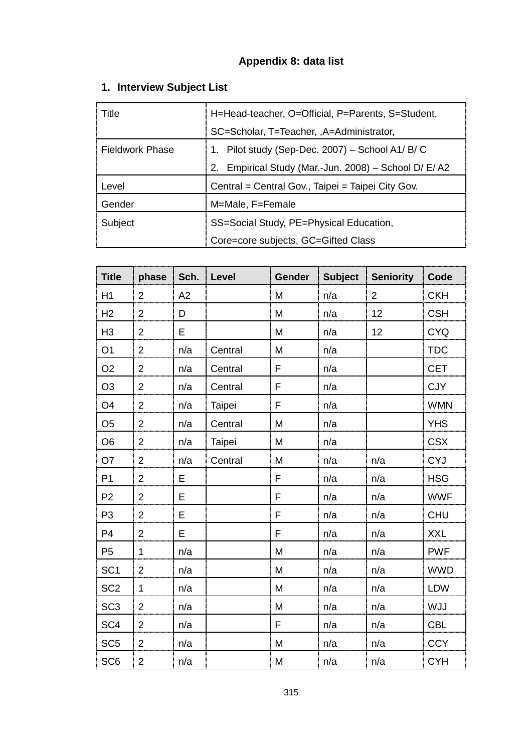# **Appendix 8: data list**

# **1. Interview Subject List**

| Title                  | H=Head-teacher, O=Official, P=Parents, S=Student,        |  |  |
|------------------------|----------------------------------------------------------|--|--|
|                        | SC=Scholar, T=Teacher, , A=Administrator,                |  |  |
| <b>Fieldwork Phase</b> | 1. Pilot study (Sep-Dec. 2007) – School A1/ B/ C         |  |  |
|                        | Empirical Study (Mar.-Jun. 2008) - School D/ E/ A2<br>2. |  |  |
| Level                  | Central = Central Gov., Taipei = Taipei City Gov.        |  |  |
| Gender                 | M=Male, F=Female                                         |  |  |
| Subject                | SS=Social Study, PE=Physical Education,                  |  |  |
|                        | Core=core subjects, GC=Gifted Class                      |  |  |

| <b>Title</b>    | phase          | Sch. | Level   | Gender | <b>Subject</b> | <b>Seniority</b> | Code       |
|-----------------|----------------|------|---------|--------|----------------|------------------|------------|
| H1              | $\overline{2}$ | A2   |         | M      | n/a            | $\overline{2}$   | <b>CKH</b> |
| H <sub>2</sub>  | $\overline{2}$ | D    |         | M      | n/a            | 12               | <b>CSH</b> |
| H <sub>3</sub>  | $\overline{2}$ | E    |         | M      | n/a            | 12               | <b>CYQ</b> |
| O <sub>1</sub>  | $\overline{2}$ | n/a  | Central | M      | n/a            |                  | <b>TDC</b> |
| O <sub>2</sub>  | $\overline{2}$ | n/a  | Central | F      | n/a            |                  | <b>CET</b> |
| O <sub>3</sub>  | $\overline{2}$ | n/a  | Central | F      | n/a            |                  | <b>CJY</b> |
| O <sub>4</sub>  | $\overline{2}$ | n/a  | Taipei  | F      | n/a            |                  | <b>WMN</b> |
| O <sub>5</sub>  | $\overline{2}$ | n/a  | Central | M      | n/a            |                  | <b>YHS</b> |
| O <sub>6</sub>  | $\overline{2}$ | n/a  | Taipei  | M      | n/a            |                  | <b>CSX</b> |
| O <sub>7</sub>  | $\overline{2}$ | n/a  | Central | M      | n/a            | n/a              | <b>CYJ</b> |
| P <sub>1</sub>  | $\overline{2}$ | E    |         | F      | n/a            | n/a              | <b>HSG</b> |
| P <sub>2</sub>  | $\overline{2}$ | E    |         | F      | n/a            | n/a              | <b>WWF</b> |
| P <sub>3</sub>  | $\overline{2}$ | E    |         | F      | n/a            | n/a              | <b>CHU</b> |
| P <sub>4</sub>  | $\overline{2}$ | E    |         | F      | n/a            | n/a              | <b>XXL</b> |
| P <sub>5</sub>  | 1              | n/a  |         | M      | n/a            | n/a              | <b>PWF</b> |
| SC <sub>1</sub> | $\overline{2}$ | n/a  |         | M      | n/a            | n/a              | <b>WWD</b> |
| SC <sub>2</sub> | $\mathbf 1$    | n/a  |         | M      | n/a            | n/a              | LDW        |
| SC <sub>3</sub> | $\overline{2}$ | n/a  |         | M      | n/a            | n/a              | <b>WJJ</b> |
| SC <sub>4</sub> | $\overline{2}$ | n/a  |         | F      | n/a            | n/a              | <b>CBL</b> |
| SC <sub>5</sub> | $\overline{2}$ | n/a  |         | M      | n/a            | n/a              | <b>CCY</b> |
| SC <sub>6</sub> | $\overline{2}$ | n/a  |         | M      | n/a            | n/a              | <b>CYH</b> |